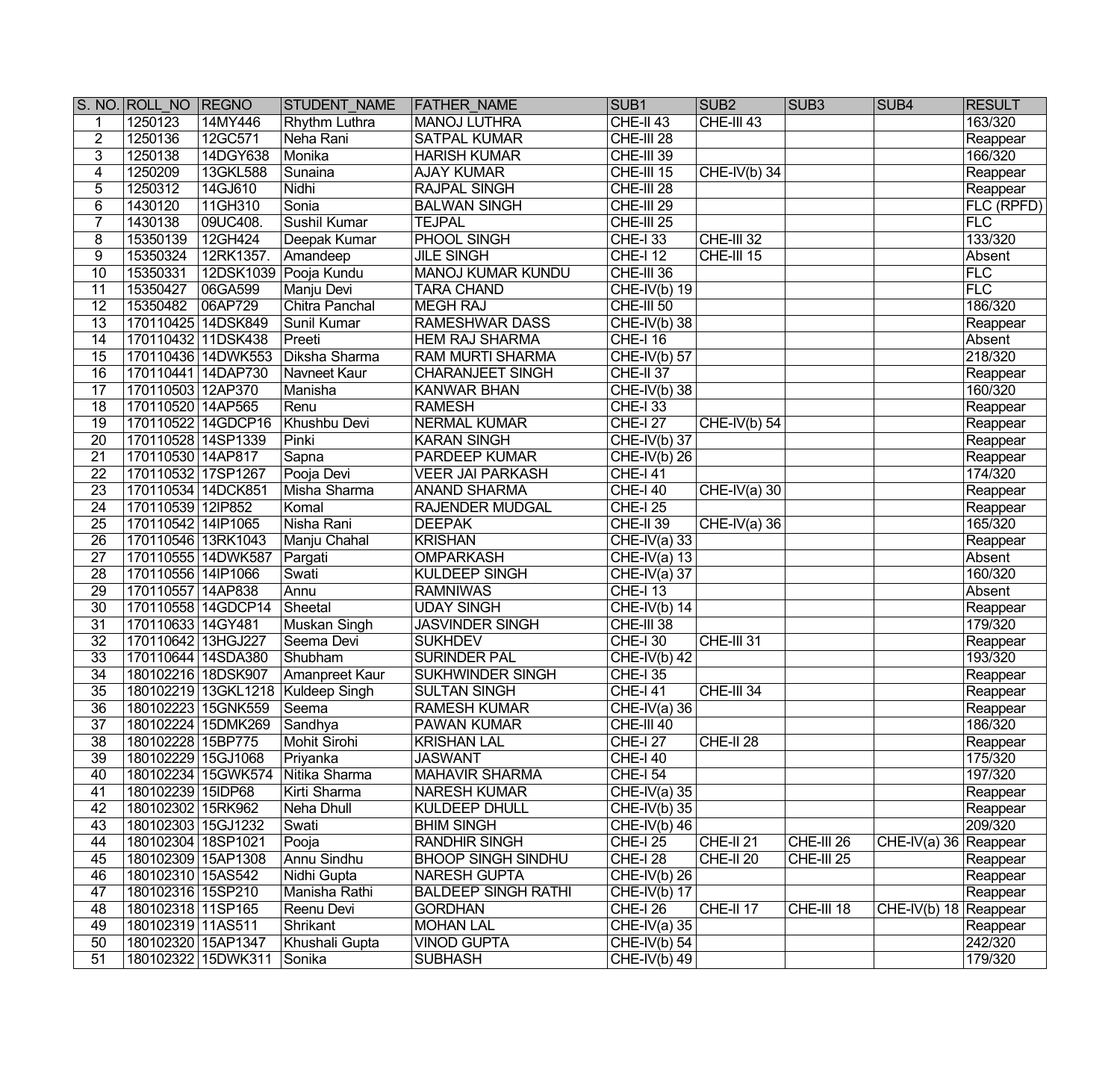|                 | S. NO. ROLL NO REGNO |                          | <b>STUDENT NAME</b>                 | <b>FATHER NAME</b>         | SUB <sub>1</sub>          | SUB <sub>2</sub>     | SUB <sub>3</sub> | SUB <sub>4</sub>        | <b>RESULT</b> |
|-----------------|----------------------|--------------------------|-------------------------------------|----------------------------|---------------------------|----------------------|------------------|-------------------------|---------------|
| $\mathbf 1$     | 1250123              | 14MY446                  | <b>Rhythm Luthra</b>                | MANOJ LUTHRA               | $CHE-II 43$               | CHE-III 43           |                  |                         | 163/320       |
| $\overline{2}$  | 1250136              | 12GC571                  | Neha Rani                           | <b>SATPAL KUMAR</b>        | CHE-III 28                |                      |                  |                         | Reappear      |
| $\overline{3}$  | 1250138              | 14DGY638                 | Monika                              | <b>HARISH KUMAR</b>        | CHE-III 39                |                      |                  |                         | 166/320       |
| $\overline{4}$  | 1250209              | 13GKL588                 | Sunaina                             | <b>AJAY KUMAR</b>          | CHE-III 15                | $CHE-IV(b)$ 34       |                  |                         | Reappear      |
| 5               | 1250312              | 14GJ610                  | Nidhi                               | <b>RAJPAL SINGH</b>        | CHE-III 28                |                      |                  |                         | Reappear      |
| $\overline{6}$  | 1430120              | 11GH310                  | Sonia                               | <b>BALWAN SINGH</b>        | CHE-III 29                |                      |                  |                         | $ FLC$ (RPFD) |
| 7               | 1430138              | 09UC408.                 | Sushil Kumar                        | <b>TEJPAL</b>              | CHE-III 25                |                      |                  |                         | FLC           |
| 8               | 15350139             | 12GH424                  | Deepak Kumar                        | PHOOL SINGH                | CHE-I 33                  | CHE-III 32           |                  |                         | 133/320       |
| 9               | 15350324             | 12RK1357.                | Amandeep                            | <b>JILE SINGH</b>          | <b>CHE-I 12</b>           | CHE-III 15           |                  |                         | Absent        |
| 10              | 15350331             |                          | 12DSK1039 Pooja Kundu               | MANOJ KUMAR KUNDU          | CHE-III 36                |                      |                  |                         | FLC           |
| 11              | 15350427             | 06GA599                  | Manju Devi                          | <b>TARA CHAND</b>          | $CHE-IV(b)$ 19            |                      |                  |                         | FLC           |
| 12              | 15350482             | 06AP729                  | Chitra Panchal                      | MEGH RAJ                   | CHE-III 50                |                      |                  |                         | 186/320       |
| 13              | 170110425 14DSK849   |                          | Sunil Kumar                         | <b>RAMESHWAR DASS</b>      | $CHE-IV(b)$ 38            |                      |                  |                         | Reappear      |
| 14              | 170110432 11DSK438   |                          | Preeti                              | <b>HEM RAJ SHARMA</b>      | <b>CHE-I 16</b>           |                      |                  |                         | Absent        |
| $\overline{15}$ |                      | 170110436 14DWK553       | Diksha Sharma                       | <b>RAM MURTI SHARMA</b>    | $CHE-IV(b)$ 57            |                      |                  |                         | 218/320       |
| 16              |                      | 170110441 14DAP730       | Navneet Kaur                        | <b>CHARANJEET SINGH</b>    | CHE-II 37                 |                      |                  |                         | Reappear      |
| 17              | 170110503 12AP370    |                          | Manisha                             | <b>KANWAR BHAN</b>         | $CHE-IV(b)$ 38            |                      |                  |                         | 160/320       |
| 18              | 170110520 14AP565    |                          | Renu                                | <b>RAMESH</b>              | <b>CHE-I 33</b>           |                      |                  |                         | Reappear      |
| 19              |                      | 170110522 14GDCP16       | Khushbu Devi                        | <b>NERMAL KUMAR</b>        | <b>CHE-127</b>            | CHE-IV(b) 54         |                  |                         | Reappear      |
| 20              | 170110528 14SP1339   |                          | Pinki                               | <b>KARAN SINGH</b>         | $CHE-IV(b)$ 37            |                      |                  |                         | Reappear      |
| $\overline{21}$ | 170110530 14AP817    |                          | Sapna                               | <b>PARDEEP KUMAR</b>       | $CHE-IV(b)$ 26            |                      |                  |                         | Reappear      |
| 22              | 170110532 17SP1267   |                          | Pooja Devi                          | <b>VEER JAI PARKASH</b>    | <b>CHE-I 41</b>           |                      |                  |                         | 174/320       |
| $\overline{23}$ | 170110534 14DCK851   |                          | Misha Sharma                        | <b>ANAND SHARMA</b>        | <b>CHE-I 40</b>           | $CHE-IV(a)$ 30       |                  |                         | Reappear      |
| 24              | 170110539 12IP852    |                          | Komal                               | <b>RAJENDER MUDGAL</b>     | $CHE-I 25$                |                      |                  |                         | Reappear      |
| $\overline{25}$ | 170110542 14IP1065   |                          | Nisha Rani                          | <b>DEEPAK</b>              | CHE-II 39                 | $CHE-IV(a)$ 36       |                  |                         | 165/320       |
| 26              | 170110546 13RK1043   |                          | Manju Chahal                        | <b>KRISHAN</b>             | $CHE-IV(a)$ 33            |                      |                  |                         | Reappear      |
| $\overline{27}$ |                      | 170110555 14DWK587       | Pargati                             | <b>OMPARKASH</b>           | $CHE-IV(a)$ 13            |                      |                  |                         | Absent        |
| 28              | 170110556 14IP1066   |                          | Swati                               | <b>KULDEEP SINGH</b>       | $CHE-IV(a)$ 37            |                      |                  |                         | 160/320       |
| $\overline{29}$ | 170110557 14AP838    |                          | Annu                                | <b>RAMNIWAS</b>            | <b>CHE-I 13</b>           |                      |                  |                         | Absent        |
| 30              |                      | 170110558 14GDCP14       | Sheetal                             | <b>UDAY SINGH</b>          | $CHE-IV(b)$ 14            |                      |                  |                         | Reappear      |
| $\overline{31}$ | 170110633 14GY481    |                          | <b>Muskan Singh</b>                 | <b>JASVINDER SINGH</b>     | CHE-III 38                |                      |                  |                         | 179/320       |
| $\overline{32}$ | 170110642 13HGJ227   |                          | Seema Devi                          | <b>SUKHDEV</b>             | <b>CHE-I 30</b>           | CHE-III 31           |                  |                         | Reappear      |
| $\overline{33}$ | 170110644 14SDA380   |                          | Shubham                             | <b>SURINDER PAL</b>        | CHE-IV(b) $42$            |                      |                  |                         | 193/320       |
| 34              | 180102216 18DSK907   |                          | Amanpreet Kaur                      | <b>SUKHWINDER SINGH</b>    | <b>CHE-I 35</b>           |                      |                  |                         | Reappear      |
| $\overline{35}$ |                      |                          | 180102219 13GKL1218   Kuldeep Singh | <b>SULTAN SINGH</b>        | <b>CHE-141</b>            | CHE-III 34           |                  |                         | Reappear      |
| $\overline{36}$ |                      | 180102223 15GNK559 Seema |                                     | <b>RAMESH KUMAR</b>        | $CHE-IV(a)$ 36            |                      |                  |                         | Reappear      |
| $\overline{37}$ |                      | 180102224 15DMK269       | Sandhya                             | PAWAN KUMAR                | CHE-III 40                |                      |                  |                         | 186/320       |
| 38              | 180102228 15BP775    |                          | <b>Mohit Sirohi</b>                 | <b>KRISHAN LAL</b>         | $CHE-I 27$                | CHE-II <sub>28</sub> |                  |                         | Reappear      |
| 39              | 180102229 15GJ1068   |                          | Priyanka                            | <b>JASWANT</b>             | <b>CHE-I 40</b>           |                      |                  |                         | 175/320       |
| 40              |                      | 180102234 15GWK574       | Nitika Sharma                       | <b>MAHAVIR SHARMA</b>      | <b>CHE-I 54</b>           |                      |                  |                         | 197/320       |
| 41              | 180102239 15IDP68    |                          | Kirti Sharma                        | <b>NARESH KUMAR</b>        | CHE-IV(a) $35$            |                      |                  |                         | Reappear      |
| 42              | 180102302 15RK962    |                          | Neha Dhull                          | KULDEEP DHULL              | CHE-IV(b) $35$            |                      |                  |                         | Reappear      |
| 43              | 180102303 15GJ1232   |                          | Swati                               | <b>BHIM SINGH</b>          | CHE-IV(b) $\overline{46}$ |                      |                  |                         | 209/320       |
| 44              | 180102304 18SP1021   |                          | Pooja                               | <b>RANDHIR SINGH</b>       | <b>CHE-I 25</b>           | CHE-II <sub>21</sub> | CHE-III 26       | $CHE-IV(a)$ 36 Reappear |               |
| 45              | 180102309 15AP1308   |                          | <b>Annu Sindhu</b>                  | <b>BHOOP SINGH SINDHU</b>  | <b>CHE-I 28</b>           | CHE-II <sub>20</sub> | CHE-III 25       |                         | Reappear      |
| 46              | 180102310 15AS542    |                          | Nidhi Gupta                         | <b>NARESH GUPTA</b>        | $CHE-IV(b)$ 26            |                      |                  |                         | Reappear      |
| 47              | 180102316 15SP210    |                          | Manisha Rathi                       | <b>BALDEEP SINGH RATHI</b> | CHE-IV(b) $17$            |                      |                  |                         | Reappear      |
| 48              | 180102318 11SP165    |                          | Reenu Devi                          | <b>GORDHAN</b>             | <b>CHE-I 26</b>           | $ $ CHE-II 17        | CHE-III 18       | CHE-IV(b) 18 Reappear   |               |
| 49              | 180102319 11AS511    |                          | Shrikant                            | <b>MOHAN LAL</b>           | $CHE-IV(a)$ 35            |                      |                  |                         | Reappear      |
| 50              | 180102320 15AP1347   |                          | Khushali Gupta                      | <b>VINOD GUPTA</b>         | CHE-IV(b) $54$            |                      |                  |                         | 242/320       |
| $\overline{51}$ |                      | 180102322 15DWK311       | Sonika                              | <b>SUBHASH</b>             | $CHE-IV(b)$ 49            |                      |                  |                         | 179/320       |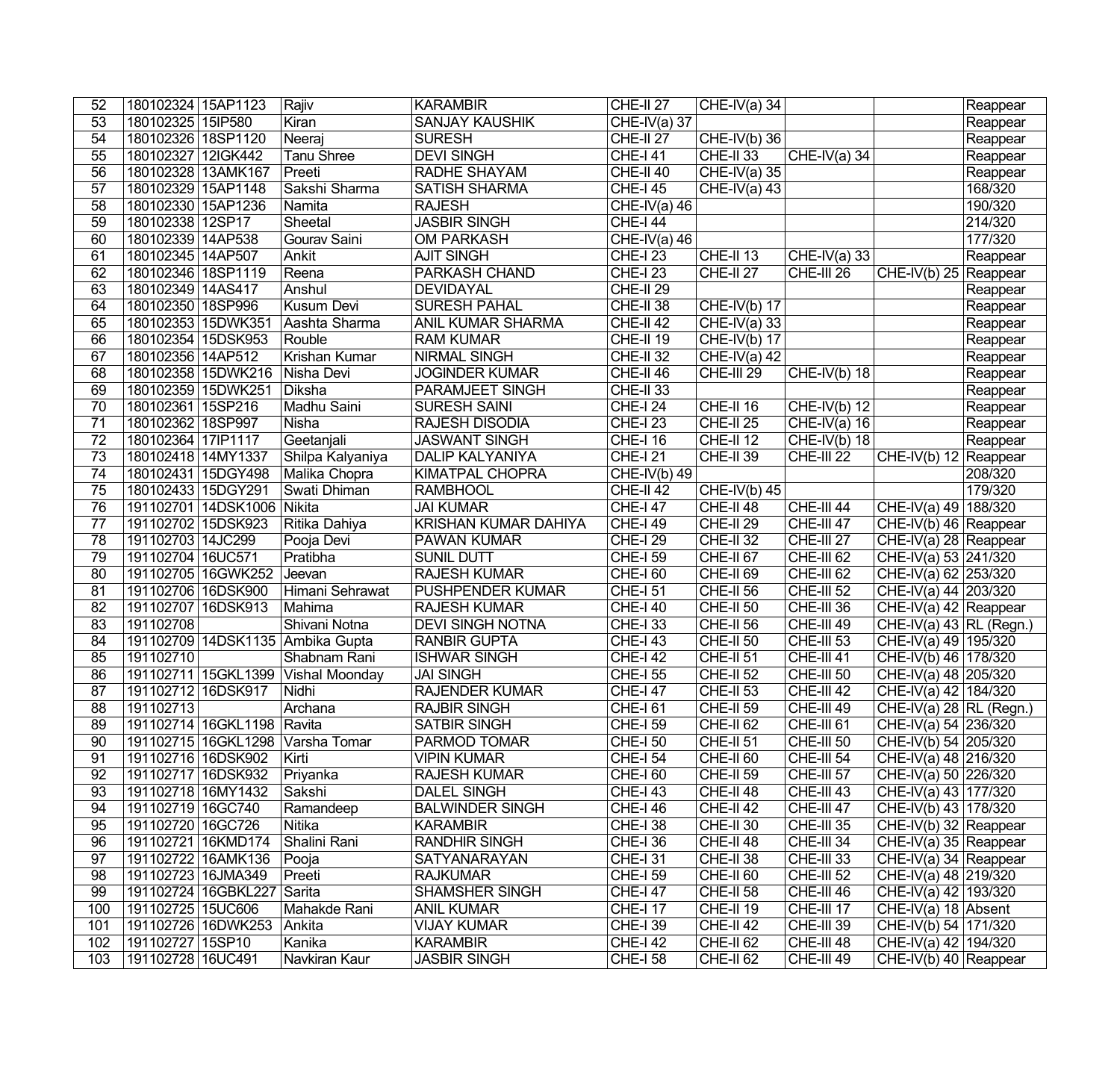| 52              | 180102324 15AP1123  |                                | Rajiv                              | <b>KARAMBIR</b>             | CHE-II <sub>27</sub>       | CHE-IV(a) $34$       |                           |                             | Reappear |
|-----------------|---------------------|--------------------------------|------------------------------------|-----------------------------|----------------------------|----------------------|---------------------------|-----------------------------|----------|
| 53              | 180102325 15IP580   |                                | Kiran                              | <b>SANJAY KAUSHIK</b>       | CHE-IV(a) $37$             |                      |                           |                             | Reappear |
| 54              | 180102326 18SP1120  |                                | Neeraj                             | <b>SURESH</b>               | CHE-II <sub>27</sub>       | $CHE-IV(b)$ 36       |                           |                             | Reappear |
| 55              | 180102327 12IGK442  |                                | <b>Tanu Shree</b>                  | <b>DEVI SINGH</b>           | <b>CHE-I 41</b>            | CHE-II 33            | CHE-IV(a) 34              |                             | Reappear |
| $\overline{56}$ | 180102328 13AMK167  |                                | Preeti                             | RADHE SHAYAM                | CHE-II 40                  | CHE-IV(a) $35$       |                           |                             | Reappear |
| $\overline{57}$ | 180102329 15AP1148  |                                | Sakshi Sharma                      | <b>SATISH SHARMA</b>        | <b>CHE-I 45</b>            | CHE-IV(a) $43$       |                           |                             | 168/320  |
| $\overline{58}$ | 180102330 15AP1236  |                                | Namita                             | <b>RAJESH</b>               | $CHE-IV(a)$ 46             |                      |                           |                             | 190/320  |
| 59              | 180102338 12SP17    |                                | Sheetal                            | <b>JASBIR SINGH</b>         | <b>CHE-I 44</b>            |                      |                           |                             | 214/320  |
| 60              | 180102339 14AP538   |                                | Gourav Saini                       | <b>OM PARKASH</b>           | $CHE-IV(a)$ 46             |                      |                           |                             | 177/320  |
| 61              | 180102345 14AP507   |                                | Ankit                              | <b>AJIT SINGH</b>           | <b>CHE-I 23</b>            | CHE-II 13            | $CHE-IV(a)$ 33            |                             | Reappear |
| 62              | 180102346 18SP1119  |                                | Reena                              | <b>PARKASH CHAND</b>        | $CHE-I 23$                 | CHE-II <sub>27</sub> | CHE-III 26                | CHE-IV(b) 25 Reappear       |          |
| 63              | 180102349 14AS417   |                                | Anshul                             | <b>DEVIDAYAL</b>            | $CHE-II 29$                |                      |                           |                             | Reappear |
| 64              | 180102350 18SP996   |                                | Kusum Devi                         | <b>SURESH PAHAL</b>         | $CHE-II 38$                | $CHE-IV(b)$ 17       |                           |                             | Reappear |
| 65              | 180102353 15DWK351  |                                | Aashta Sharma                      | <b>ANIL KUMAR SHARMA</b>    | CHE-II 42                  | CHE-IV(a) 33         |                           |                             | Reappear |
| 66              | 180102354 15DSK953  |                                | Rouble                             | <b>RAM KUMAR</b>            | CHE-II 19                  | CHE-IV(b) 17         |                           |                             | Reappear |
| 67              | 180102356 14AP512   |                                | Krishan Kumar                      | <b>NIRMAL SINGH</b>         | CHE-II 32                  | $CHE-IV(a)$ 42       |                           |                             | Reappear |
| 68              | 180102358 15DWK216  |                                | Nisha Devi                         | <b>JOGINDER KUMAR</b>       | CHE-II 46                  | CHE-III 29           | $CHE-IV(b)$ 18            |                             | Reappear |
| 69              | 180102359 15DWK251  |                                | Diksha                             | <b>PARAMJEET SINGH</b>      | CHE-II 33                  |                      |                           |                             | Reappear |
| 70              | 180102361 15SP216   |                                | Madhu Saini                        | <b>SURESH SAINI</b>         | $CHE-I 24$                 | CHE-II 16            | $CHE-IV(b)$ 12            |                             | Reappear |
| 71              | 180102362 18SP997   |                                | Nisha                              | RAJESH DISODIA              | <b>CHE-I 23</b>            | CHE-II <sub>25</sub> | $CHE-IV(a)$ 16            |                             | Reappear |
| $\overline{72}$ | 180102364 17IP1117  |                                | Geetanjali                         | <b>JASWANT SINGH</b>        | <b>CHE-I 16</b>            | CHE-II 12            | CHE-IV(b) $\overline{18}$ |                             | Reappear |
| 73              | 180102418 14MY1337  |                                | Shilpa Kalyaniya                   | <b>DALIP KALYANIYA</b>      | <b>CHE-I 21</b>            | CHE-II 39            | CHE-III 22                | CHE-IV(b) $12$ Reappear     |          |
| 74              | 180102431 15DGY498  |                                | Malika Chopra                      | KIMATPAL CHOPRA             | $\overline{CHE}$ -IV(b) 49 |                      |                           |                             | 208/320  |
| $\overline{75}$ | 180102433 15DGY291  |                                | Swati Dhiman                       | <b>RAMBHOOL</b>             | CHE-II <sub>42</sub>       | $CHE-IV(b)$ 45       |                           |                             | 179/320  |
| 76              |                     | 191102701 14DSK1006            | Nikita                             | <b>JAI KUMAR</b>            | $CHE-I 47$                 | CHE-II 48            | CHE-III 44                | CHE-IV(a) 49   188/320      |          |
| 77              | 191102702 15DSK923  |                                | Ritika Dahiya                      | <b>KRISHAN KUMAR DAHIYA</b> | <b>CHE-I 49</b>            | CHE-II <sub>29</sub> | CHE-III 47                | CHE-IV(b) 46 Reappear       |          |
| 78              | 191102703 14JC299   |                                | Pooja Devi                         | <b>PAWAN KUMAR</b>          | <b>CHE-I 29</b>            | CHE-II 32            | CHE-III 27                | CHE-IV(a) 28 Reappear       |          |
| 79              | 191102704 16UC571   |                                | Pratibha                           | <b>SUNIL DUTT</b>           | <b>CHE-I 59</b>            | CHE-II <sub>67</sub> | CHE-III <sub>62</sub>     | $CHE-IV(a) 53   241/320$    |          |
| 80              | 191102705 16GWK252  |                                | Jeevan                             | <b>RAJESH KUMAR</b>         | <b>CHE-I 60</b>            | CHE-II <sub>69</sub> | CHE-III 62                | $CHE-IV(a) 62   253/320$    |          |
| 81              | 191102706 16DSK900  |                                | Himani Sehrawat                    | <b>PUSHPENDER KUMAR</b>     | $CHE-I 51$                 | CHE-II 56            | CHE-III 52                | CHE-IV(a) 44 203/320        |          |
| 82              | 191102707 16DSK913  |                                | Mahima                             | <b>RAJESH KUMAR</b>         | <b>CHE-I 40</b>            | CHE-II 50            | CHE-III 36                | CHE-IV(a) 42 Reappear       |          |
| 83              | 191102708           |                                | Shivani Notna                      | <b>DEVI SINGH NOTNA</b>     | $CHE-133$                  | CHE-II 56            | CHE-III 49                | CHE-IV(a) $43$ RL (Regn.)   |          |
| 84              |                     |                                | 191102709 14DSK1135 Ambika Gupta   | <b>RANBIR GUPTA</b>         | <b>CHE-I 43</b>            | CHE-II 50            | CHE-III 53                | CHE-IV(a) 49 195/320        |          |
| 85              | 191102710           |                                | Shabnam Rani                       | <b>ISHWAR SINGH</b>         | $CHE-I$ 42                 | CHE-II 51            | CHE-III 41                | CHE-IV(b) 46 178/320        |          |
| 86              |                     |                                | 191102711 15GKL1399 Vishal Moonday | <b>JAI SINGH</b>            | <b>CHE-I 55</b>            | CHE-II <sub>52</sub> | CHE-III 50                | CHE-IV(a) 48 205/320        |          |
| 87              | 191102712 16DSK917  |                                | Nidhi                              | <b>RAJENDER KUMAR</b>       | <b>CHE-I 47</b>            | CHE-II <sub>53</sub> | CHE-III 42                | CHE-IV(a) $42 \mid 184/320$ |          |
| 88              | 191102713           |                                | Archana                            | <b>RAJBIR SINGH</b>         | $CHE-I 61$                 | $CHE-II 59$          | $CHE-III$ 49              | $CHE-IV(a) 28  RL (Regn.)$  |          |
| 89              |                     | 191102714   16GKL1198   Ravita |                                    | <b>SATBIR SINGH</b>         | <b>CHE-I 59</b>            | CHE-II <sub>62</sub> | CHE-III <sub>61</sub>     | CHE-IV(a) 54 236/320        |          |
| 90              |                     |                                | 191102715 16GKL1298 Varsha Tomar   | <b>PARMOD TOMAR</b>         | <b>CHE-I 50</b>            | CHE-II <sub>51</sub> | CHE-III 50                | CHE-IV(b) 54 205/320        |          |
| 91              | 191102716 16DSK902  |                                | Kirti                              | <b>VIPIN KUMAR</b>          | <b>CHE-I 54</b>            | CHE-II <sub>60</sub> | CHE-III 54                | CHE-IV(a) 48 216/320        |          |
| 92              | 191102717 16DSK932  |                                | Priyanka                           | <b>RAJESH KUMAR</b>         | <b>CHE-I 60</b>            | CHE-II 59            | CHE-III 57                | CHE-IV(a) 50 226/320        |          |
| 93              | 191102718 16MY1432  |                                | Sakshi                             | <b>DALEL SINGH</b>          | <b>CHE-I 43</b>            | CHE-II 48            | CHE-III 43                | CHE-IV(a) 43 177/320        |          |
| 94              | 191102719 16GC740   |                                | Ramandeep                          | <b>BALWINDER SINGH</b>      | <b>CHE-I 46</b>            | CHE-II <sub>42</sub> | CHE-III 47                | CHE-IV(b) 43   178/320      |          |
| 95              | 191102720   16GC726 |                                | Nitika                             | <b>KARAMBIR</b>             | <b>CHE-I 38</b>            | CHE-II 30            | CHE-III 35                | CHE-IV(b) $32$ Reappear     |          |
| 96              | 191102721 16KMD174  |                                | Shalini Rani                       | <b>RANDHIR SINGH</b>        | <b>CHE-I 36</b>            | CHE-II 48            | CHE-III 34                | CHE-IV(a) $35$ Reappear     |          |
| 97              | 191102722 16AMK136  |                                | Pooja                              | <b>SATYANARAYAN</b>         | <b>CHE-I 31</b>            | CHE-II 38            | CHE-III 33                | CHE-IV(a) 34 Reappear       |          |
| 98              | 191102723 16JMA349  |                                | Preeti                             | <b>RAJKUMAR</b>             | <b>CHE-I 59</b>            | CHE-II <sub>60</sub> | CHE-III 52                | CHE-IV(a) 48 219/320        |          |
| 99              |                     | 191102724 16GBKL227 Sarita     |                                    | <b>SHAMSHER SINGH</b>       | <b>CHE-I 47</b>            | CHE-II 58            | CHE-III 46                | CHE-IV(a) 42 193/320        |          |
| 100             | 191102725 15UC606   |                                | Mahakde Rani                       | <b>ANIL KUMAR</b>           | <b>CHE-I 17</b>            | CHE-II 19            | CHE-III 17                | CHE-IV(a) 18 Absent         |          |
| 101             |                     | 191102726 16DWK253 Ankita      |                                    | <b>VIJAY KUMAR</b>          | <b>CHE-I 39</b>            | CHE-II <sub>42</sub> | CHE-III 39                | CHE-IV(b) 54 171/320        |          |
| 102             | 191102727 15SP10    |                                | Kanika                             | <b>KARAMBIR</b>             | <b>CHE-I 42</b>            | CHE-II <sub>62</sub> | CHE-III 48                | CHE-IV(a) 42 194/320        |          |
| 103             | 191102728 16UC491   |                                | Navkiran Kaur                      | <b>JASBIR SINGH</b>         | <b>CHE-I 58</b>            | CHE-II <sub>62</sub> | CHE-III 49                | $CHE-IV(b)$ 40 Reappear     |          |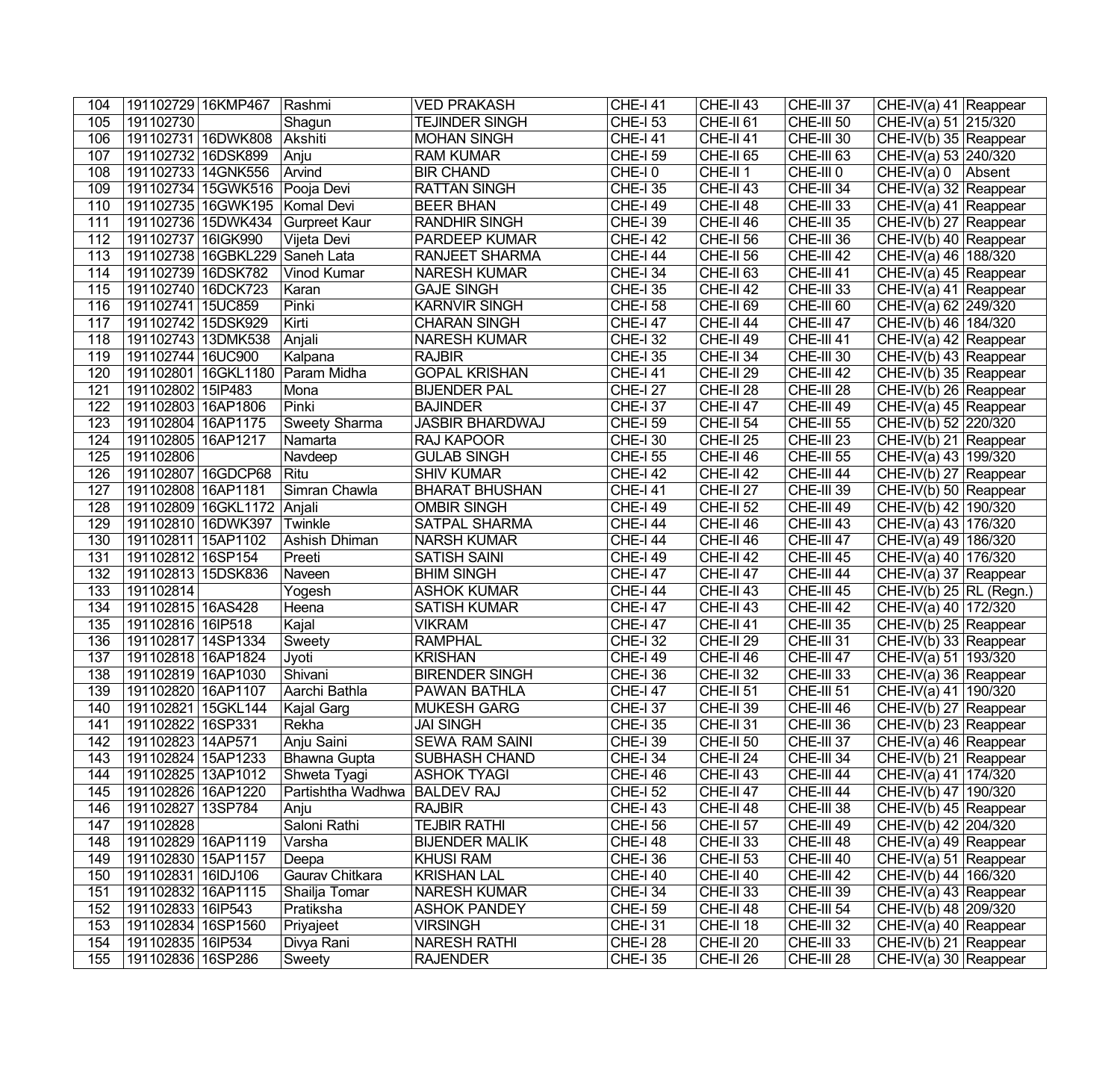| 104        | 191102729 16KMP467                     |                                 | Rashmi            | <b>VED PRAKASH</b>                        | $CHE-I 41$                         | CHE-II 43              | CHE-III 37               | CHE-IV(a) 41 Reappear                                        |  |
|------------|----------------------------------------|---------------------------------|-------------------|-------------------------------------------|------------------------------------|------------------------|--------------------------|--------------------------------------------------------------|--|
| 105        | 191102730                              |                                 | Shagun            | <b>TEJINDER SINGH</b>                     | <b>CHE-I 53</b>                    | CHE-II <sub>61</sub>   | CHE-III 50               | CHE-IV(a) 51 215/320                                         |  |
| 106        | 191102731 16DWK808                     |                                 | Akshiti           | <b>MOHAN SINGH</b>                        | <b>CHE-141</b>                     | CHE-II 41              | CHE-III 30               | CHE-IV(b) 35 Reappear                                        |  |
| 107        | 191102732 16DSK899                     |                                 | Anju              | <b>RAM KUMAR</b>                          | <b>CHE-I 59</b>                    | CHE-II <sub>65</sub>   | CHE-III 63               | CHE-IV(a) 53 240/320                                         |  |
| 108        | 191102733 14GNK556                     |                                 | Arvind            | <b>BIR CHAND</b>                          | CHE-I0                             | CHE-II <sub>1</sub>    | CHE-III 0                | CHE-IV(a) $0$   Absent                                       |  |
| 109        |                                        | 191102734 15GWK516 Pooja Devi   |                   | <b>RATTAN SINGH</b>                       | <b>CHE-I 35</b>                    | CHE-II 43              | CHE-III 34               | CHE-IV(a) 32 Reappear                                        |  |
| 110        |                                        | 191102735 16GWK195   Komal Devi |                   | <b>BEER BHAN</b>                          | <b>CHE-I 49</b>                    | CHE-II 48              | CHE-III 33               | CHE-IV(a) 41 Reappear                                        |  |
| 111        |                                        | 191102736 15DWK434              | Gurpreet Kaur     | <b>RANDHIR SINGH</b>                      | <b>CHE-I 39</b>                    | CHE-II 46              | $CHE-III$ 35             | CHE-IV(b) 27 Reappear                                        |  |
| 112        | 191102737 16IGK990                     |                                 | Vijeta Devi       | <b>PARDEEP KUMAR</b>                      | <b>CHE-I 42</b>                    | CHE-II 56              | CHE-III 36               | CHE-IV(b) 40 Reappear                                        |  |
| 113        |                                        | 191102738 16GBKL229 Saneh Lata  |                   | <b>RANJEET SHARMA</b>                     | $CHE-I$ 44                         | CHE-II 56              | CHE-III 42               | CHE-IV(a) 46 188/320                                         |  |
| 114        | 191102739 16DSK782                     |                                 | Vinod Kumar       | <b>NARESH KUMAR</b>                       | $CHE-I$ 34                         | CHE-II <sub>63</sub>   | CHE-III 41               | CHE-IV(a) $45$ Reappear                                      |  |
| 115        | 191102740 16DCK723                     |                                 | Karan             | <b>GAJE SINGH</b>                         | <b>CHE-I 35</b>                    | CHE-II 42              | CHE-III 33               | CHE-IV(a) 41 Reappear                                        |  |
| 116        | 191102741 15UC859                      |                                 | Pinki             | <b>KARNVIR SINGH</b>                      | $CHE-I$ 58                         | CHE-II <sub>69</sub>   | CHE-III 60               | CHE-IV(a) 62 249/320                                         |  |
| 117        | 191102742 15DSK929                     |                                 | Kirti             | <b>CHARAN SINGH</b>                       | <b>CHE-I 47</b>                    | CHE-II 44              | CHE-III 47               | CHE-IV(b) 46 184/320                                         |  |
| 118        | 191102743 13DMK538                     |                                 | Anjali            | <b>NARESH KUMAR</b>                       | <b>CHE-I 32</b>                    | CHE-II 49              | CHE-III 41               | $CHE-IV(a)$ 42 Reappear                                      |  |
| 119        | 191102744 16UC900                      |                                 | Kalpana           | <b>RAJBIR</b>                             | <b>CHE-I 35</b>                    | CHE-II 34              | CHE-III 30               | CHE-IV(b) 43 Reappear                                        |  |
| 120        |                                        | 191102801 16GKL1180             | Param Midha       | <b>GOPAL KRISHAN</b>                      | <b>CHE-141</b>                     | CHE-II <sub>29</sub>   | CHE-III 42               | CHE-IV(b) 35 Reappear                                        |  |
| 121        | 191102802 15IP483                      |                                 | Mona              | <b>BIJENDER PAL</b>                       | <b>CHE-I 27</b>                    | CHE-II <sub>28</sub>   | CHE-III 28               | CHE-IV(b) 26 Reappear                                        |  |
| 122        | 191102803 16AP1806                     |                                 | Pinki             | <b>BAJINDER</b>                           | <b>CHE-I 37</b>                    | CHE-II 47              | <b>CHE-III 49</b>        | CHE-IV(a) 45 Reappear                                        |  |
| 123        | 191102804 16AP1175                     |                                 | Sweety Sharma     | <b>JASBIR BHARDWAJ</b>                    | $CHE-I$ 59                         | CHE-II 54              | CHE-III 55               | CHE-IV(b) 52 220/320                                         |  |
| 124        | 191102805 16AP1217                     |                                 | Namarta           | <b>RAJ KAPOOR</b>                         | <b>CHE-I 30</b>                    | CHE-II <sub>25</sub>   | CHE-III 23               | CHE-IV(b) 21 Reappear                                        |  |
| 125        | 191102806                              |                                 | Navdeep           | <b>GULAB SINGH</b>                        | <b>CHE-I 55</b>                    | CHE-II 46              | CHE-III 55               | CHE-IV(a) 43   199/320                                       |  |
| 126        | 191102807 16GDCP68                     |                                 | Ritu              | <b>SHIV KUMAR</b>                         | $CHE-I 42$                         | CHE-II 42              | CHE-III 44               | CHE-IV(b) 27 Reappear                                        |  |
| 127        | 191102808 16AP1181                     |                                 | Simran Chawla     | <b>BHARAT BHUSHAN</b>                     | $CHE-I$ 41                         | CHE-II <sub>27</sub>   | CHE-III 39               | CHE-IV(b) 50 Reappear                                        |  |
| 128        |                                        | 191102809 16GKL1172 Anjali      |                   | <b>OMBIR SINGH</b>                        | <b>CHE-I 49</b>                    | <b>CHE-II 52</b>       | $CHE-III$ 49             | CHE-IV(b) 42   190/320                                       |  |
| 129        | 191102810 16DWK397                     |                                 | Twinkle           | <b>SATPAL SHARMA</b>                      | <b>CHE-I 44</b>                    | CHE-II 46              | CHE-III 43               | CHE-IV(a) 43   176/320                                       |  |
| 130        | 191102811 15AP1102                     |                                 | Ashish Dhiman     | <b>NARSH KUMAR</b>                        | $CHE-I$ 44                         | $CHE-II 46$            | CHE-III 47               | CHE-IV(a) $49 186/320$                                       |  |
| 131        | 191102812 16SP154                      |                                 | Preeti            | <b>SATISH SAINI</b>                       | <b>CHE-I 49</b>                    | CHE-II 42              | CHE-III 45               | CHE-IV(a) 40 176/320                                         |  |
| 132        | 191102813 15DSK836                     |                                 | Naveen            | <b>BHIM SINGH</b>                         | <b>CHE-I 47</b>                    | CHE-II 47              | CHE-III 44               | CHE-IV(a) 37 Reappear                                        |  |
| 133<br>134 | 191102814                              |                                 | Yogesh            | <b>ASHOK KUMAR</b><br><b>SATISH KUMAR</b> | <b>CHE-I 44</b><br><b>CHE-I 47</b> | CHE-II 43              | CHE-III 45               | $CHE-IV(b)$ 25 RL (Regn.)                                    |  |
| 135        | 191102815 16AS428<br>191102816 16IP518 |                                 | Heena<br>Kajal    | <b>VIKRAM</b>                             | <b>CHE-I 47</b>                    | CHE-II 43<br>CHE-II 41 | CHE-III 42<br>CHE-III 35 | $\overline{CHE-IV(a)}$ 40   172/320<br>CHE-IV(b) 25 Reappear |  |
| 136        | 191102817 14SP1334                     |                                 | Sweety            | <b>RAMPHAL</b>                            | <b>CHE-I 32</b>                    | CHE-II <sub>29</sub>   | CHE-III 31               | CHE-IV(b) 33 Reappear                                        |  |
| 137        | 191102818 16AP1824                     |                                 | Jyoti             | <b>KRISHAN</b>                            | <b>CHE-I 49</b>                    | CHE-II 46              | CHE-III 47               | CHE-IV(a) 51   193/320                                       |  |
| 138        | 191102819 16AP1030                     |                                 | Shivani           | <b>BIRENDER SINGH</b>                     | <b>CHE-I 36</b>                    | CHE-II 32              | CHE-III 33               | CHE-IV(a) 36 Reappear                                        |  |
| 139        | 191102820 16AP1107                     |                                 | Aarchi Bathla     | PAWAN BATHLA                              | <b>CHE-I 47</b>                    | CHE-II 51              | CHE-III 51               | CHE-IV(a) 41 190/320                                         |  |
| 140        | 191102821 15GKL144                     |                                 | Kajal Garg        | <b>MUKESH GARG</b>                        | <b>CHE-I 37</b>                    | $CHE-II 39$            | CHE-III 46               | CHE-IV(b) 27 Reappear                                        |  |
| 141        | 191102822 16SP331                      |                                 | Rekha             | <b>JAI SINGH</b>                          | <b>CHE-I 35</b>                    | CHE-II 31              | CHE-III 36               | CHE-IV(b) 23 Reappear                                        |  |
| 142        | 191102823 14AP571                      |                                 | Anju Saini        | <b>SEWA RAM SAINI</b>                     | <b>CHE-I 39</b>                    | CHE-II 50              | CHE-III 37               | CHE-IV(a) $46$ Reappear                                      |  |
| 143        | 191102824 15AP1233                     |                                 | Bhawna Gupta      | <b>SUBHASH CHAND</b>                      | <b>CHE-I 34</b>                    | CHE-II <sub>24</sub>   | CHE-III 34               | CHE-IV(b) 21 Reappear                                        |  |
| 144        | 191102825 13AP1012                     |                                 | Shweta Tyagi      | ASHOK TYAGI                               | <b>CHE-I 46</b>                    | CHE-II 43              | CHE-III 44               | CHE-IV(a) 41   174/320                                       |  |
| 145        | 191102826 16AP1220                     |                                 | Partishtha Wadhwa | <b>BALDEV RAJ</b>                         | <b>CHE-I 52</b>                    | CHE-II 47              | CHE-III 44               | CHE-IV(b) 47   190/320                                       |  |
| 146        | 191102827 13SP784                      |                                 | Anju              | <b>RAJBIR</b>                             | <b>CHE-I 43</b>                    | CHE-II 48              | CHE-III 38               | CHE-IV(b) $45$ Reappear                                      |  |
| 147        | 191102828                              |                                 | Saloni Rathi      | <b>TEJBIR RATHI</b>                       | <b>CHE-I 56</b>                    | CHE-II 57              | CHE-III 49               | CHE-IV(b) 42 204/320                                         |  |
| 148        | 191102829 16AP1119                     |                                 | Varsha            | <b>BIJENDER MALIK</b>                     | <b>CHE-I 48</b>                    | CHE-II 33              | CHE-III 48               | CHE-IV(a) $49$ Reappear                                      |  |
| 149        | 191102830 15AP1157                     |                                 | Deepa             | <b>KHUSI RAM</b>                          | <b>CHE-I 36</b>                    | CHE-II <sub>53</sub>   | CHE-III 40               | CHE-IV(a) 51 Reappear                                        |  |
| 150        | 191102831   16IDJ106                   |                                 | Gaurav Chitkara   | <b>KRISHAN LAL</b>                        | <b>CHE-I 40</b>                    | CHE-II 40              | CHE-III 42               | CHE-IV(b) 44   166/320                                       |  |
| 151        | 191102832 16AP1115                     |                                 | Shailja Tomar     | <b>NARESH KUMAR</b>                       | <b>CHE-I 34</b>                    | CHE-II 33              | CHE-III 39               | CHE-IV(a) 43 Reappear                                        |  |
| 152        | 191102833   16IP543                    |                                 | Pratiksha         | <b>ASHOK PANDEY</b>                       | <b>CHE-I 59</b>                    | CHE-II 48              | CHE-III 54               | CHE-IV(b) 48 209/320                                         |  |
| 153        | 191102834 16SP1560                     |                                 | Priyajeet         | <b>VIRSINGH</b>                           | <b>CHE-I 31</b>                    | CHE-II 18              | CHE-III 32               | CHE-IV(a) 40 Reappear                                        |  |
| 154        | 191102835 16IP534                      |                                 | Divya Rani        | <b>NARESH RATHI</b>                       | <b>CHE-I 28</b>                    | CHE-II <sub>20</sub>   | $CHE-III$ 33             | $CHE-IV(b)$ 21 Reappear                                      |  |
| 155        | 191102836 16SP286                      |                                 | Sweety            | <b>RAJENDER</b>                           | <b>CHE-I 35</b>                    | CHE-II <sub>26</sub>   | CHE-III 28               | $CHE-IV(a)$ 30 Reappear                                      |  |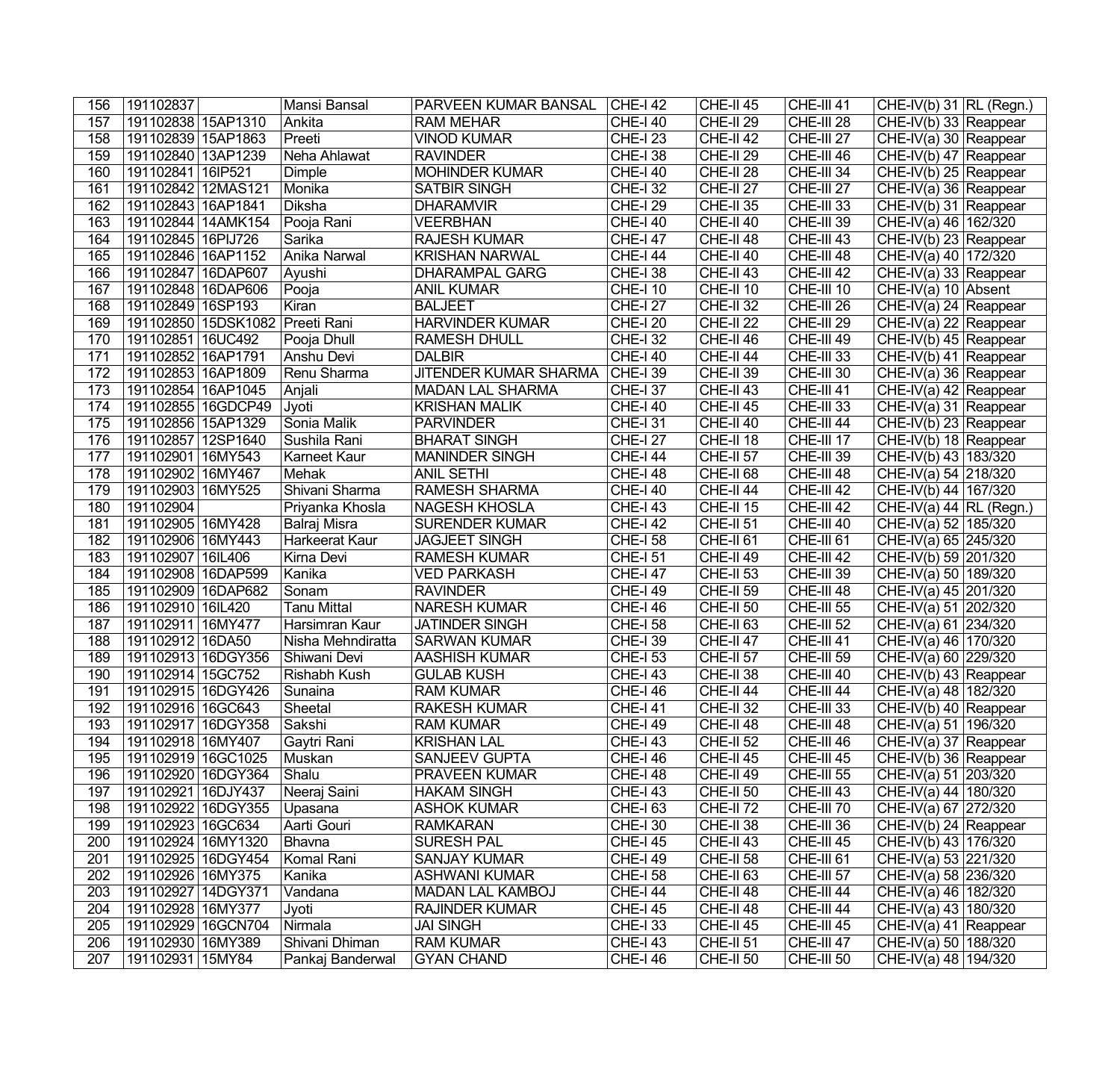| 156 | 191102837                       | Mansi Bansal       | PARVEEN KUMAR BANSAL         | $ $ CHE-I 42    | CHE-II <sub>45</sub> | CHE-III 41        | CHE-IV(b) $31$ RL (Regn.)           |  |
|-----|---------------------------------|--------------------|------------------------------|-----------------|----------------------|-------------------|-------------------------------------|--|
| 157 | 191102838 15AP1310              | Ankita             | <b>RAM MEHAR</b>             | $CHE-140$       | CHE-II <sub>29</sub> | CHE-III 28        | $CHE-IV(b)$ 33 Reappear             |  |
| 158 | 191102839 15AP1863              | Preeti             | <b>VINOD KUMAR</b>           | <b>CHE-I 23</b> | CHE-II <sub>42</sub> | CHE-III 27        | $CHE-IV(a)$ 30 Reappear             |  |
| 159 | 191102840 13AP1239              | Neha Ahlawat       | <b>RAVINDER</b>              | <b>CHE-I 38</b> | CHE-II <sub>29</sub> | CHE-III 46        | $CHE-IV(b)$ 47 Reappear             |  |
| 160 | 191102841 16IP521               | Dimple             | <b>MOHINDER KUMAR</b>        | <b>CHE-I 40</b> | CHE-II <sub>28</sub> | CHE-III 34        | CHE-IV(b) $25$ Reappear             |  |
| 161 | 191102842 12MAS121              | Monika             | <b>SATBIR SINGH</b>          | <b>CHE-I 32</b> | $CHE-II 27$          | CHE-III 27        | CHE-IV(a) 36 Reappear               |  |
| 162 | 191102843   16AP1841            | Diksha             | <b>DHARAMVIR</b>             | <b>CHE-I 29</b> | CHE-II 35            | CHE-III 33        | CHE-IV(b) 31 Reappear               |  |
| 163 | 191102844 14AMK154              | Pooja Rani         | <b>VEERBHAN</b>              | <b>CHE-I 40</b> | CHE-II 40            | CHE-III 39        | CHE-IV(a) 46 162/320                |  |
| 164 | 191102845 16PIJ726              | Sarika             | <b>RAJESH KUMAR</b>          | <b>CHE-I 47</b> | CHE-II 48            | CHE-III 43        | CHE-IV(b) 23 Reappear               |  |
| 165 | 191102846 16AP1152              | Anika Narwal       | <b>KRISHAN NARWAL</b>        | $CHE-I$ 44      | CHE-II 40            | CHE-III 48        | CHE-IV(a) $40 172/320$              |  |
| 166 | 191102847   16DAP607            | Ayushi             | <b>DHARAMPAL GARG</b>        | CHE-I 38        | CHE-II 43            | CHE-III 42        | $CHE-IV(a)$ 33 Reappear             |  |
| 167 | 191102848 16DAP606              | Pooja              | <b>ANIL KUMAR</b>            | $CHE-I$ 10      | CHE-II 10            | CHE-III 10        | CHE-IV(a) 10 Absent                 |  |
| 168 | 191102849 16SP193               | Kiran              | <b>BALJEET</b>               | <b>CHE-I 27</b> | CHE-II 32            | CHE-III 26        | CHE-IV(a) 24   Reappear             |  |
| 169 | 191102850 15DSK1082 Preeti Rani |                    | <b>HARVINDER KUMAR</b>       | $CHE-I 20$      | CHE-II <sub>22</sub> | CHE-III 29        | CHE-IV(a) 22 Reappear               |  |
| 170 | 191102851 16UC492               | Pooja Dhull        | <b>RAMESH DHULL</b>          | <b>CHE-I 32</b> | CHE-II 46            | CHE-III 49        | $CHE-IV(b)$ 45 Reappear             |  |
| 171 | 191102852 16AP1791              | Anshu Devi         | <b>DALBIR</b>                | <b>CHE-I 40</b> | CHE-II 44            | CHE-III 33        | CHE-IV(b) 41 Reappear               |  |
| 172 | 191102853 16AP1809              | Renu Sharma        | <b>JITENDER KUMAR SHARMA</b> | $CHE-I$ 39      | CHE-II 39            | CHE-III 30        | CHE-IV(a) 36 Reappear               |  |
| 173 | 191102854 16AP1045              | Anjali             | <b>MADAN LAL SHARMA</b>      | <b>CHE-I 37</b> | CHE-II 43            | $CHE-III$ 41      | CHE-IV(a) 42 Reappear               |  |
| 174 | 191102855 16GDCP49              | Jyoti              | <b>KRISHAN MALIK</b>         | <b>CHE-I 40</b> | CHE-II 45            | CHE-III 33        | CHE-IV(a) 31 Reappear               |  |
| 175 | 191102856 15AP1329              | Sonia Malik        | <b>PARVINDER</b>             | <b>CHE-I 31</b> | $CHE-II 40$          | CHE-III 44        | CHE-IV(b) 23 Reappear               |  |
| 176 | 191102857 12SP1640              | Sushila Rani       | <b>BHARAT SINGH</b>          | $CHE-I 27$      | CHE-II 18            | CHE-III 17        | CHE-IV(b) 18 Reappear               |  |
| 177 | 191102901 16MY543               | Karneet Kaur       | <b>MANINDER SINGH</b>        | <b>CHE-I 44</b> | CHE-II 57            | CHE-III 39        | CHE-IV(b) 43 183/320                |  |
| 178 | 191102902 16MY467               | Mehak              | <b>ANIL SETHI</b>            | <b>CHE-I 48</b> | CHE-II <sub>68</sub> | CHE-III 48        | CHE-IV(a) 54 218/320                |  |
| 179 | 191102903 16MY525               | Shivani Sharma     | <b>RAMESH SHARMA</b>         | $CHE-I$ 40      | CHE-II 44            | CHE-III 42        | CHE-IV(b) 44   167/320              |  |
| 180 | 191102904                       | Priyanka Khosla    | <b>NAGESH KHOSLA</b>         | <b>CHE-I 43</b> | CHE-II 15            | $CHE-III$ 42      | CHE-IV(a) 44   RL (Regn.)           |  |
| 181 | 191102905 16MY428               | Balraj Misra       | <b>SURENDER KUMAR</b>        | <b>CHE-I 42</b> | CHE-II <sub>51</sub> | CHE-III 40        | CHE-IV(a) 52 185/320                |  |
| 182 | 191102906 16MY443               | Harkeerat Kaur     | <b>JAGJEET SINGH</b>         | <b>CHE-I 58</b> | CHE-II <sub>61</sub> | CHE-III 61        | CHE-IV(a) 65 245/320                |  |
| 183 | 191102907 16IL406               | Kirna Devi         | <b>RAMESH KUMAR</b>          | $CHE-I$ 51      | CHE-II 49            | $CHE-III$ 42      | CHE-IV(b) 59 201/320                |  |
| 184 | 191102908 16DAP599              | Kanika             | <b>VED PARKASH</b>           | $CHE-I 47$      | CHE-II 53            | CHE-III 39        | CHE-IV(a) 50 189/320                |  |
| 185 | 191102909 16DAP682              | Sonam              | <b>RAVINDER</b>              | $CHE-149$       | CHE-II 59            | CHE-III 48        | CHE-IV(a) 45 201/320                |  |
| 186 | 191102910 16IL420               | <b>Tanu Mittal</b> | <b>NARESH KUMAR</b>          | <b>CHE-I 46</b> | CHE-II 50            | CHE-III 55        | CHE-IV(a) 51 202/320                |  |
| 187 | 191102911 16MY477               | Harsimran Kaur     | <b>JATINDER SINGH</b>        | <b>CHE-I 58</b> | CHE-II <sub>63</sub> | CHE-III 52        | $\overline{CHE}$ -IV(a) 61 234/320  |  |
| 188 | 191102912 16DA50                | Nisha Mehndiratta  | <b>SARWAN KUMAR</b>          | <b>CHE-I 39</b> | CHE-II 47            | CHE-III 41        | CHE-IV(a) 46 170/320                |  |
| 189 | 191102913 16DGY356              | Shiwani Devi       | <b>AASHISH KUMAR</b>         | <b>CHE-I 53</b> | CHE-II 57            | CHE-III 59        | CHE-IV(a) 60 229/320                |  |
| 190 | 191102914 15GC752               | Rishabh Kush       | <b>GULAB KUSH</b>            | <b>CHE-I 43</b> | CHE-II 38            | CHE-III 40        | $\overline{CHE}$ -IV(b) 43 Reappear |  |
| 191 | 191102915 16DGY426              | Sunaina            | <b>RAM KUMAR</b>             | <b>CHE-I 46</b> | CHE-II 44            | $CHE-III$ 44      | CHE-IV(a) 48 182/320                |  |
| 192 | 191102916 16GC643               | Sheetal            | <b>RAKESH KUMAR</b>          | $CHE-I$ 41      | $CHE-II 32$          | $CHE-III$ 33      | CHE-IV(b) 40 Reappear               |  |
| 193 | 191102917 16DGY358              | Sakshi             | <b>RAM KUMAR</b>             | <b>CHE-I 49</b> | CHE-II 48            | CHE-III 48        | CHE-IV(a) 51 196/320                |  |
| 194 | 191102918 16MY407               | Gaytri Rani        | <b>KRISHAN LAL</b>           | <b>CHE-I 43</b> | CHE-II <sub>52</sub> | CHE-III 46        | CHE-IV(a) 37 Reappear               |  |
| 195 | 191102919 16GC1025              | Muskan             | <b>SANJEEV GUPTA</b>         | <b>CHE-I 46</b> | CHE-II 45            | <b>CHE-III 45</b> | CHE-IV(b) 36 Reappear               |  |
| 196 | 191102920 16DGY364              | Shalu              | PRAVEEN KUMAR                | <b>CHE-I 48</b> | CHE-II 49            | CHE-III 55        | CHE-IV(a) 51 203/320                |  |
| 197 | 191102921 16DJY437              | Neeraj Saini       | <b>HAKAM SINGH</b>           | <b>CHE-I 43</b> | CHE-II 50            | CHE-III 43        | CHE-IV(a) 44   180/320              |  |
| 198 | 191102922 16DGY355              | Upasana            | <b>ASHOK KUMAR</b>           | <b>CHE-I 63</b> | CHE-II <sub>72</sub> | CHE-III 70        | CHE-IV(a) 67 272/320                |  |
| 199 | 191102923 16GC634               | Aarti Gouri        | <b>RAMKARAN</b>              | <b>CHE-I 30</b> | CHE-II 38            | CHE-III 36        | CHE-IV(b) 24 Reappear               |  |
| 200 | 191102924 16MY1320              | Bhavna             | <b>SURESH PAL</b>            | <b>CHE-I 45</b> | CHE-II 43            | CHE-III 45        | CHE-IV(b) 43   176/320              |  |
| 201 | 191102925 16DGY454              | Komal Rani         | <b>SANJAY KUMAR</b>          | <b>CHE-I 49</b> | CHE-II 58            | CHE-III 61        | CHE-IV(a) 53 221/320                |  |
| 202 | 191102926 16MY375               | Kanika             | <b>ASHWANI KUMAR</b>         | <b>CHE-I 58</b> | CHE-II <sub>63</sub> | CHE-III 57        | CHE-IV(a) 58 236/320                |  |
| 203 | 191102927 14DGY371              | Vandana            | <b>MADAN LAL KAMBOJ</b>      | <b>CHE-I 44</b> | CHE-II 48            | CHE-III 44        | CHE-IV(a) 46 182/320                |  |
| 204 | 191102928 16MY377               | Jyoti              | <b>RAJINDER KUMAR</b>        | <b>CHE-I 45</b> | CHE-II 48            | CHE-III 44        | CHE-IV(a) 43 180/320                |  |
| 205 | 191102929 16GCN704              | Nirmala            | <b>JAI SINGH</b>             | <b>CHE-I 33</b> | CHE-II 45            | CHE-III 45        | $\overline{CHE-IV(a) 41}$ Reappear  |  |
| 206 | 191102930 16MY389               | Shivani Dhiman     | <b>RAM KUMAR</b>             | <b>CHE-I 43</b> | <b>CHE-II 51</b>     | $CHE-III$ 47      | CHE-IV(a) 50 188/320                |  |
| 207 | 191102931 15MY84                | Pankaj Banderwal   | <b>GYAN CHAND</b>            | <b>CHE-I 46</b> | CHE-II 50            | CHE-III 50        | CHE-IV(a) 48 194/320                |  |
|     |                                 |                    |                              |                 |                      |                   |                                     |  |